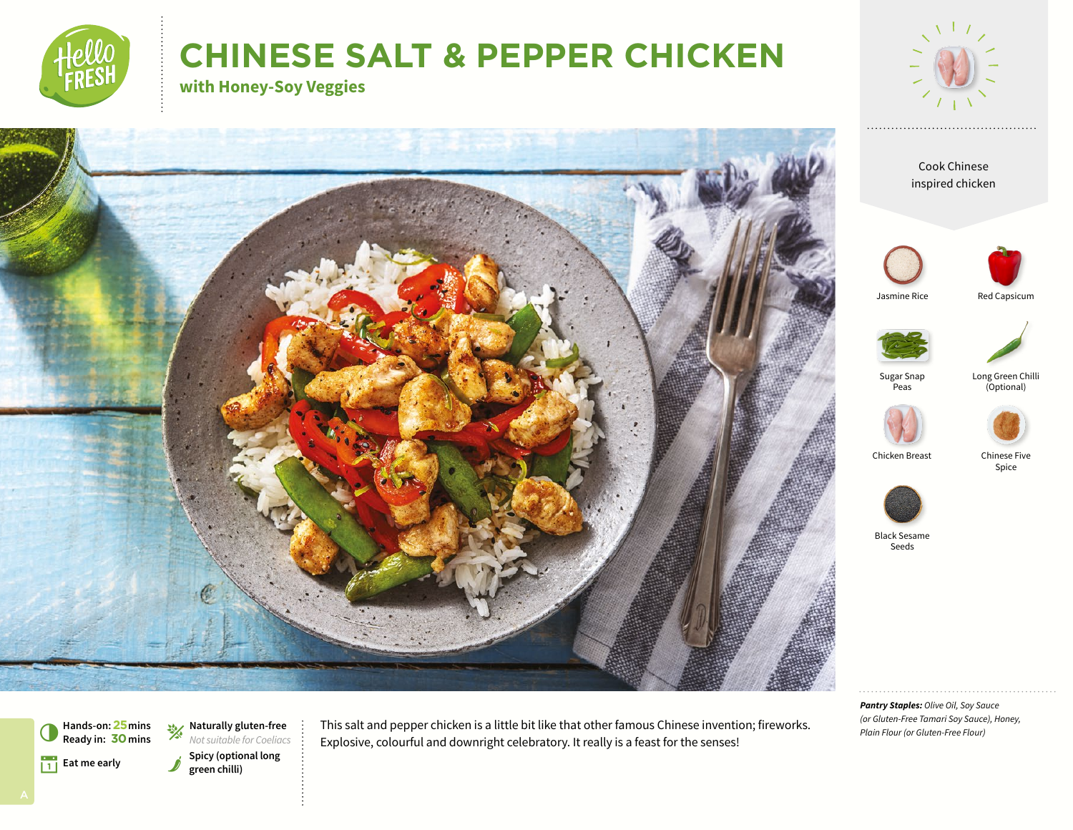

# **CHINESE SALT & PEPPER CHICKEN**

**with Honey-Soy Veggies**











Sugar Snap **Peas** 

Long Green Chilli (Optional)







Chicken Breast

Black Sesame Seeds

*Pantry Staples: Olive Oil, Soy Sauce (or Gluten-Free Tamari Soy Sauce), Honey, Plain Flour (or Gluten-Free Flour)*



**Hands-on:25mins** 6**Ready in: 30mins**

Spicy (optional long<br>
green chilli) g**Naturally gluten-free** *Not suitable for Coeliacs* This salt and pepper chicken is a little bit like that other famous Chinese invention; fireworks. Explosive, colourful and downright celebratory. It really is a feast for the senses!